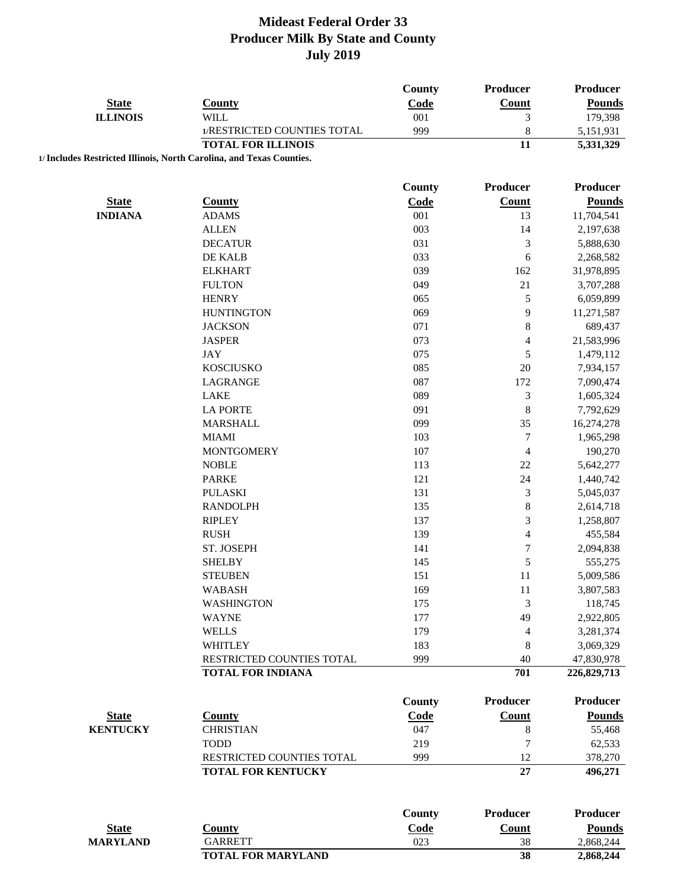|                 |                                                                      | County        | <b>Producer</b>          | Producer        |
|-----------------|----------------------------------------------------------------------|---------------|--------------------------|-----------------|
| <b>State</b>    | <b>County</b>                                                        | Code          | <b>Count</b>             | <b>Pounds</b>   |
| <b>ILLINOIS</b> | <b>WILL</b>                                                          | 001           | 3                        | 179,398         |
|                 | 1/RESTRICTED COUNTIES TOTAL                                          | 999           | 8                        | 5,151,931       |
|                 | <b>TOTAL FOR ILLINOIS</b>                                            |               | 11                       | 5,331,329       |
|                 | 1/ Includes Restricted Illinois, North Carolina, and Texas Counties. |               |                          |                 |
|                 |                                                                      | <b>County</b> | <b>Producer</b>          | Producer        |
| <b>State</b>    | <b>County</b>                                                        | Code          | <b>Count</b>             | <b>Pounds</b>   |
| <b>INDIANA</b>  | <b>ADAMS</b>                                                         | 001           | 13                       | 11,704,541      |
|                 | <b>ALLEN</b>                                                         | 003           | 14                       | 2,197,638       |
|                 | <b>DECATUR</b>                                                       | 031           | $\mathfrak{Z}$           | 5,888,630       |
|                 | DE KALB                                                              | 033           | 6                        | 2,268,582       |
|                 | <b>ELKHART</b>                                                       | 039           | 162                      | 31,978,895      |
|                 | <b>FULTON</b>                                                        | 049           | 21                       | 3,707,288       |
|                 | <b>HENRY</b>                                                         | 065           | 5                        | 6,059,899       |
|                 | <b>HUNTINGTON</b>                                                    | 069           | 9                        | 11,271,587      |
|                 | <b>JACKSON</b>                                                       | 071           | 8                        | 689,437         |
|                 | <b>JASPER</b>                                                        | 073           | $\overline{\mathcal{L}}$ | 21,583,996      |
|                 | <b>JAY</b>                                                           | 075           | 5                        | 1,479,112       |
|                 | <b>KOSCIUSKO</b>                                                     | 085           | 20                       | 7,934,157       |
|                 | LAGRANGE                                                             | 087           | 172                      | 7,090,474       |
|                 | <b>LAKE</b>                                                          | 089           | 3                        | 1,605,324       |
|                 | <b>LA PORTE</b>                                                      | 091           | 8                        | 7,792,629       |
|                 | <b>MARSHALL</b>                                                      | 099           | 35                       | 16,274,278      |
|                 | <b>MIAMI</b>                                                         | 103           | $\sqrt{ }$               | 1,965,298       |
|                 | <b>MONTGOMERY</b>                                                    | 107           | $\overline{\mathcal{L}}$ | 190,270         |
|                 | <b>NOBLE</b>                                                         | 113           | 22                       | 5,642,277       |
|                 | <b>PARKE</b>                                                         | 121           | 24                       | 1,440,742       |
|                 | <b>PULASKI</b>                                                       | 131           | 3                        | 5,045,037       |
|                 | <b>RANDOLPH</b>                                                      | 135           | 8                        | 2,614,718       |
|                 | <b>RIPLEY</b>                                                        | 137           | 3                        | 1,258,807       |
|                 | <b>RUSH</b>                                                          | 139           | $\overline{\mathcal{L}}$ | 455,584         |
|                 | ST. JOSEPH                                                           | 141           | $\overline{7}$           | 2,094,838       |
|                 | <b>SHELBY</b>                                                        | 145           | 5                        | 555,275         |
|                 | <b>STEUBEN</b>                                                       | 151           | 11                       | 5,009,586       |
|                 | <b>WABASH</b>                                                        | 169           | $11\,$                   | 3,807,583       |
|                 | <b>WASHINGTON</b>                                                    | 175           | 3                        | 118,745         |
|                 | <b>WAYNE</b>                                                         | 177           | 49                       | 2,922,805       |
|                 | <b>WELLS</b>                                                         | 179           | 4                        | 3,281,374       |
|                 | <b>WHITLEY</b>                                                       | 183           | 8                        | 3,069,329       |
|                 | RESTRICTED COUNTIES TOTAL                                            | 999           | 40                       | 47,830,978      |
|                 | <b>TOTAL FOR INDIANA</b>                                             |               | 701                      | 226,829,713     |
|                 |                                                                      | County        | <b>Producer</b>          | Producer        |
| <b>State</b>    | <b>County</b>                                                        | Code          | Count                    | <b>Pounds</b>   |
| <b>KENTUCKY</b> | <b>CHRISTIAN</b>                                                     | 047           | 8                        | 55,468          |
|                 | <b>TODD</b>                                                          | 219           | 7                        | 62,533          |
|                 | RESTRICTED COUNTIES TOTAL                                            | 999           | 12                       | 378,270         |
|                 | <b>TOTAL FOR KENTUCKY</b>                                            |               | 27                       | 496,271         |
|                 |                                                                      |               |                          |                 |
|                 |                                                                      | County        | <b>Producer</b>          | <b>Producer</b> |
| <b>State</b>    | <b>County</b>                                                        | Code          | Count                    | <b>Pounds</b>   |
| <b>MARYLAND</b> | <b>GARRETT</b>                                                       | 023           | 38                       | 2,868,244       |
|                 | <b>TOTAL FOR MARYLAND</b>                                            |               | 38                       | 2,868,244       |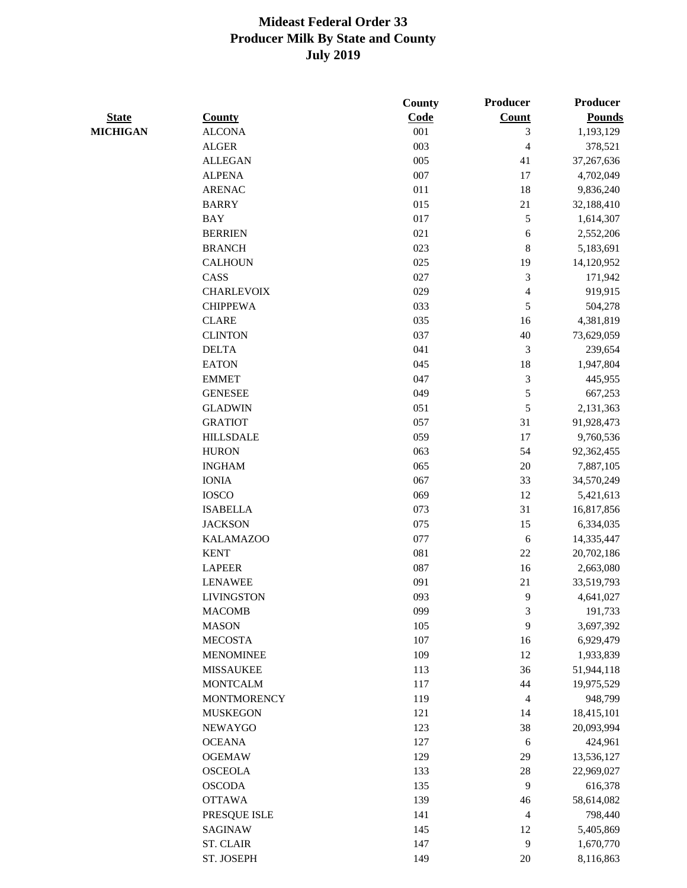|                 |                    | County | Producer                 | <b>Producer</b> |
|-----------------|--------------------|--------|--------------------------|-----------------|
| <b>State</b>    | <b>County</b>      | Code   | <b>Count</b>             | <b>Pounds</b>   |
| <b>MICHIGAN</b> | <b>ALCONA</b>      | 001    | 3                        | 1,193,129       |
|                 | <b>ALGER</b>       | 003    | $\overline{\mathcal{L}}$ | 378,521         |
|                 | <b>ALLEGAN</b>     | 005    | 41                       | 37,267,636      |
|                 | <b>ALPENA</b>      | 007    | 17                       | 4,702,049       |
|                 | <b>ARENAC</b>      | 011    | 18                       | 9,836,240       |
|                 | <b>BARRY</b>       | 015    | 21                       | 32,188,410      |
|                 | <b>BAY</b>         | 017    | 5                        | 1,614,307       |
|                 | <b>BERRIEN</b>     | 021    | 6                        | 2,552,206       |
|                 | <b>BRANCH</b>      | 023    | $8\,$                    | 5,183,691       |
|                 | <b>CALHOUN</b>     | 025    | 19                       | 14,120,952      |
|                 | CASS               | 027    | $\mathfrak{Z}$           | 171,942         |
|                 | <b>CHARLEVOIX</b>  | 029    | $\overline{\mathbf{4}}$  | 919,915         |
|                 | <b>CHIPPEWA</b>    | 033    | 5                        | 504,278         |
|                 | <b>CLARE</b>       | 035    | 16                       | 4,381,819       |
|                 | <b>CLINTON</b>     | 037    | 40                       | 73,629,059      |
|                 | <b>DELTA</b>       | 041    | 3                        | 239,654         |
|                 | <b>EATON</b>       | 045    | 18                       | 1,947,804       |
|                 | <b>EMMET</b>       | 047    | $\mathfrak{Z}$           | 445,955         |
|                 | <b>GENESEE</b>     | 049    | 5                        | 667,253         |
|                 | <b>GLADWIN</b>     | 051    | 5                        | 2,131,363       |
|                 | <b>GRATIOT</b>     | 057    | 31                       | 91,928,473      |
|                 | <b>HILLSDALE</b>   | 059    | 17                       | 9,760,536       |
|                 | <b>HURON</b>       | 063    | 54                       | 92,362,455      |
|                 | <b>INGHAM</b>      | 065    | $20\,$                   | 7,887,105       |
|                 | <b>IONIA</b>       | 067    | 33                       | 34,570,249      |
|                 | <b>IOSCO</b>       | 069    | 12                       | 5,421,613       |
|                 | <b>ISABELLA</b>    | 073    | 31                       | 16,817,856      |
|                 | <b>JACKSON</b>     | 075    | 15                       | 6,334,035       |
|                 | <b>KALAMAZOO</b>   | 077    | 6                        | 14,335,447      |
|                 | <b>KENT</b>        | 081    | $22\,$                   | 20,702,186      |
|                 | <b>LAPEER</b>      | 087    | 16                       | 2,663,080       |
|                 | <b>LENAWEE</b>     | 091    | 21                       | 33,519,793      |
|                 | <b>LIVINGSTON</b>  | 093    | 9                        | 4,641,027       |
|                 | <b>MACOMB</b>      | 099    | 3                        | 191,733         |
|                 | <b>MASON</b>       | 105    | 9                        | 3,697,392       |
|                 | <b>MECOSTA</b>     | 107    | 16                       | 6,929,479       |
|                 | <b>MENOMINEE</b>   | 109    | 12                       | 1,933,839       |
|                 | <b>MISSAUKEE</b>   | 113    | 36                       | 51,944,118      |
|                 | <b>MONTCALM</b>    | 117    | $44\,$                   | 19,975,529      |
|                 | <b>MONTMORENCY</b> | 119    | $\overline{4}$           | 948,799         |
|                 | <b>MUSKEGON</b>    | 121    |                          |                 |
|                 |                    | 123    | 14<br>38                 | 18,415,101      |
|                 | <b>NEWAYGO</b>     |        |                          | 20,093,994      |
|                 | <b>OCEANA</b>      | 127    | $\sqrt{6}$               | 424,961         |
|                 | <b>OGEMAW</b>      | 129    | 29                       | 13,536,127      |
|                 | <b>OSCEOLA</b>     | 133    | $28\,$                   | 22,969,027      |
|                 | <b>OSCODA</b>      | 135    | 9                        | 616,378         |
|                 | <b>OTTAWA</b>      | 139    | 46                       | 58,614,082      |
|                 | PRESQUE ISLE       | 141    | $\overline{4}$           | 798,440         |
|                 | <b>SAGINAW</b>     | 145    | 12                       | 5,405,869       |
|                 | ST. CLAIR          | 147    | 9                        | 1,670,770       |
|                 | ST. JOSEPH         | 149    | $20\,$                   | 8,116,863       |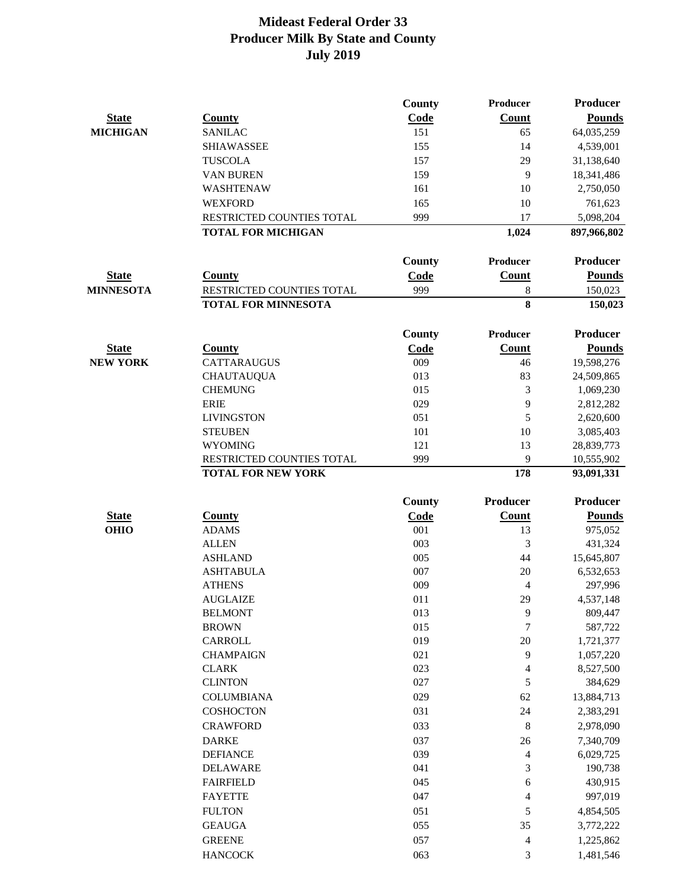|                  |                            | County     | Producer                 | <b>Producer</b> |
|------------------|----------------------------|------------|--------------------------|-----------------|
| <b>State</b>     | <b>County</b>              | Code       | Count                    | <b>Pounds</b>   |
| <b>MICHIGAN</b>  | <b>SANILAC</b>             | 151        | 65                       | 64,035,259      |
|                  | <b>SHIAWASSEE</b>          | 155        | 14                       | 4,539,001       |
|                  | <b>TUSCOLA</b>             | 157        | 29                       | 31,138,640      |
|                  | <b>VAN BUREN</b>           | 159        | 9                        | 18,341,486      |
|                  | WASHTENAW                  | 161        | 10                       | 2,750,050       |
|                  | <b>WEXFORD</b>             | 165        | 10                       | 761,623         |
|                  | RESTRICTED COUNTIES TOTAL  | 999        | 17                       | 5,098,204       |
|                  | <b>TOTAL FOR MICHIGAN</b>  |            | 1,024                    | 897,966,802     |
|                  |                            |            |                          |                 |
|                  |                            | County     | <b>Producer</b>          | <b>Producer</b> |
| <b>State</b>     | <b>County</b>              | Code       | Count                    | <b>Pounds</b>   |
| <b>MINNESOTA</b> | RESTRICTED COUNTIES TOTAL  | 999        | 8                        | 150,023         |
|                  | <b>TOTAL FOR MINNESOTA</b> |            | 8                        | 150,023         |
|                  |                            | County     | <b>Producer</b>          | <b>Producer</b> |
| <b>State</b>     | <b>County</b>              | Code       | Count                    | <b>Pounds</b>   |
| <b>NEW YORK</b>  | CATTARAUGUS                | 009        | 46                       | 19,598,276      |
|                  | <b>CHAUTAUQUA</b>          | 013        | 83                       | 24,509,865      |
|                  | <b>CHEMUNG</b>             | 015        | 3                        | 1,069,230       |
|                  | <b>ERIE</b>                | 029        | 9                        | 2,812,282       |
|                  | <b>LIVINGSTON</b>          | 051        | 5                        | 2,620,600       |
|                  | <b>STEUBEN</b>             | 101        | 10                       | 3,085,403       |
|                  | <b>WYOMING</b>             | 121        | 13                       | 28,839,773      |
|                  | RESTRICTED COUNTIES TOTAL  | 999        | 9                        | 10,555,902      |
|                  | <b>TOTAL FOR NEW YORK</b>  |            | 178                      | 93,091,331      |
|                  |                            | County     | <b>Producer</b>          | <b>Producer</b> |
| <b>State</b>     | <b>County</b>              | Code       | <b>Count</b>             | <b>Pounds</b>   |
| <b>OHIO</b>      | <b>ADAMS</b>               | 001        | 13                       | 975,052         |
|                  | <b>ALLEN</b>               | 003        | 3                        | 431,324         |
|                  | <b>ASHLAND</b>             | 005        | 44                       | 15,645,807      |
|                  | <b>ASHTABULA</b>           | 007        | 20                       | 6,532,653       |
|                  | <b>ATHENS</b>              | 009        | 4                        | 297,996         |
|                  | <b>AUGLAIZE</b>            | 011        | 29                       | 4,537,148       |
|                  | <b>BELMONT</b>             | 013        | 9                        | 809,447         |
|                  | <b>BROWN</b>               | 015        | $\boldsymbol{7}$         | 587,722         |
|                  | CARROLL                    | 019        | 20                       | 1,721,377       |
|                  | <b>CHAMPAIGN</b>           | 021        | 9                        | 1,057,220       |
|                  | <b>CLARK</b>               | 023        | $\overline{\mathcal{A}}$ | 8,527,500       |
|                  | <b>CLINTON</b>             | 027        | 5                        | 384,629         |
|                  | <b>COLUMBIANA</b>          | 029        | 62                       | 13,884,713      |
|                  | COSHOCTON                  | 031        | 24                       | 2,383,291       |
|                  | <b>CRAWFORD</b>            | 033        | $\,8$                    | 2,978,090       |
|                  |                            |            |                          |                 |
|                  | <b>DARKE</b>               | 037<br>039 | 26<br>$\overline{4}$     | 7,340,709       |
|                  | <b>DEFIANCE</b>            |            |                          | 6,029,725       |
|                  | <b>DELAWARE</b>            | 041        | $\mathfrak{Z}$           | 190,738         |
|                  | <b>FAIRFIELD</b>           | 045        | 6                        | 430,915         |
|                  | <b>FAYETTE</b>             | 047        | 4                        | 997,019         |
|                  | <b>FULTON</b>              | 051        | 5                        | 4,854,505       |
|                  | <b>GEAUGA</b>              | 055        | 35                       | 3,772,222       |
|                  | <b>GREENE</b>              | 057        | 4                        | 1,225,862       |
|                  | <b>HANCOCK</b>             | 063        | $\mathfrak{Z}$           | 1,481,546       |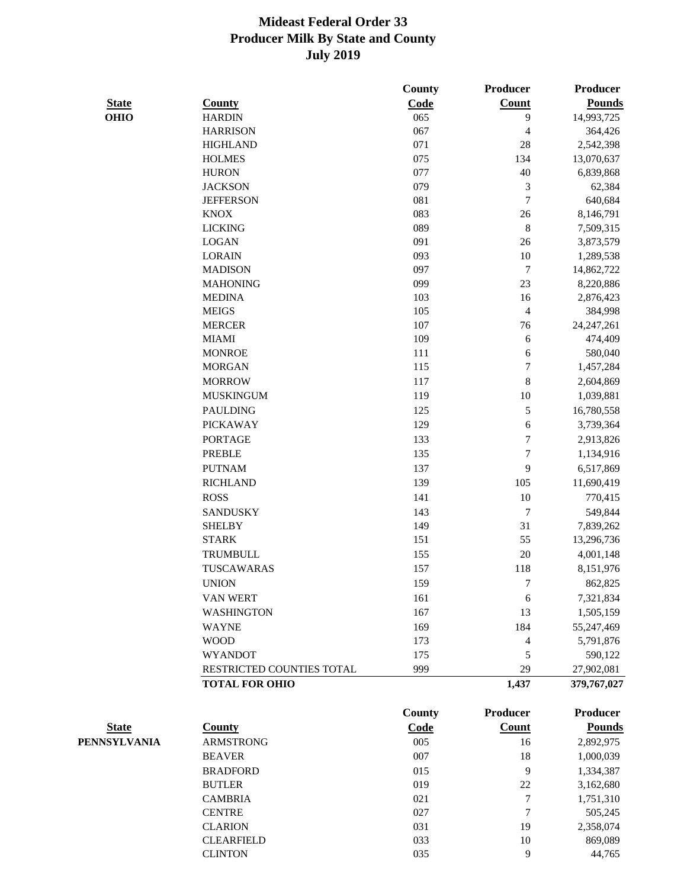|              |                           | <b>County</b> | Producer                 | <b>Producer</b> |
|--------------|---------------------------|---------------|--------------------------|-----------------|
| <b>State</b> | <b>County</b>             | Code          | Count                    | <b>Pounds</b>   |
| <b>OHIO</b>  | <b>HARDIN</b>             | 065           | 9                        | 14,993,725      |
|              | <b>HARRISON</b>           | 067           | 4                        | 364,426         |
|              | <b>HIGHLAND</b>           | 071           | 28                       | 2,542,398       |
|              | <b>HOLMES</b>             | 075           | 134                      | 13,070,637      |
|              | <b>HURON</b>              | 077           | 40                       | 6,839,868       |
|              | <b>JACKSON</b>            | 079           | $\mathfrak{Z}$           | 62,384          |
|              | <b>JEFFERSON</b>          | 081           | $\overline{7}$           | 640,684         |
|              | <b>KNOX</b>               | 083           | 26                       | 8,146,791       |
|              | <b>LICKING</b>            | 089           | $\,$ 8 $\,$              | 7,509,315       |
|              | <b>LOGAN</b>              | 091           | 26                       | 3,873,579       |
|              | <b>LORAIN</b>             | 093           | 10                       | 1,289,538       |
|              | <b>MADISON</b>            | 097           | $\sqrt{ }$               | 14,862,722      |
|              | <b>MAHONING</b>           | 099           | 23                       | 8,220,886       |
|              | <b>MEDINA</b>             | 103           | 16                       | 2,876,423       |
|              | <b>MEIGS</b>              | 105           | $\overline{\mathcal{L}}$ | 384,998         |
|              | <b>MERCER</b>             | 107           | 76                       | 24, 247, 261    |
|              | <b>MIAMI</b>              | 109           | 6                        | 474,409         |
|              | <b>MONROE</b>             | 111           | 6                        | 580,040         |
|              | <b>MORGAN</b>             | 115           | $\overline{7}$           | 1,457,284       |
|              | <b>MORROW</b>             | 117           | 8                        | 2,604,869       |
|              | <b>MUSKINGUM</b>          | 119           | 10                       | 1,039,881       |
|              | <b>PAULDING</b>           | 125           | 5                        | 16,780,558      |
|              | <b>PICKAWAY</b>           | 129           | 6                        | 3,739,364       |
|              | <b>PORTAGE</b>            | 133           | $\overline{7}$           | 2,913,826       |
|              | <b>PREBLE</b>             | 135           | $\overline{7}$           | 1,134,916       |
|              | <b>PUTNAM</b>             | 137           | 9                        | 6,517,869       |
|              | <b>RICHLAND</b>           | 139           | 105                      | 11,690,419      |
|              | <b>ROSS</b>               | 141           | 10                       | 770,415         |
|              | <b>SANDUSKY</b>           | 143           | $\overline{7}$           | 549,844         |
|              | <b>SHELBY</b>             | 149           | 31                       | 7,839,262       |
|              | <b>STARK</b>              | 151           | 55                       | 13,296,736      |
|              | <b>TRUMBULL</b>           | 155           | $20\,$                   | 4,001,148       |
|              | <b>TUSCAWARAS</b>         | 157           | 118                      | 8,151,976       |
|              | <b>UNION</b>              | 159           | 7                        | 862,825         |
|              | VAN WERT                  | 161           | $\sqrt{6}$               | 7,321,834       |
|              | <b>WASHINGTON</b>         | 167           | 13                       | 1,505,159       |
|              |                           |               | 184                      |                 |
|              | <b>WAYNE</b>              | 169           |                          | 55,247,469      |
|              | <b>WOOD</b>               | 173           | 4                        | 5,791,876       |
|              | <b>WYANDOT</b>            | 175           | 5                        | 590,122         |
|              | RESTRICTED COUNTIES TOTAL | 999           | 29                       | 27,902,081      |
|              | <b>TOTAL FOR OHIO</b>     |               | 1,437                    | 379,767,027     |
|              |                           | <b>County</b> | <b>Producer</b>          | <b>Producer</b> |
| <b>State</b> | <b>County</b>             | Code          | Count                    | <b>Pounds</b>   |
| PENNSYLVANIA | <b>ARMSTRONG</b>          | 005           | 16                       | 2,892,975       |
|              | <b>BEAVER</b>             | 007           | 18                       | 1,000,039       |
|              | <b>BRADFORD</b>           | 015           | 9                        | 1,334,387       |
|              | <b>BUTLER</b>             | 019           | 22                       | 3,162,680       |
|              | <b>CAMBRIA</b>            | 021           | $\boldsymbol{7}$         | 1,751,310       |
|              | <b>CENTRE</b>             | 027           | 7                        | 505,245         |
|              | <b>CLARION</b>            | 031           | 19                       | 2,358,074       |

CLEARFIELD 033 10 869,089 CLINTON 035 9 44,765